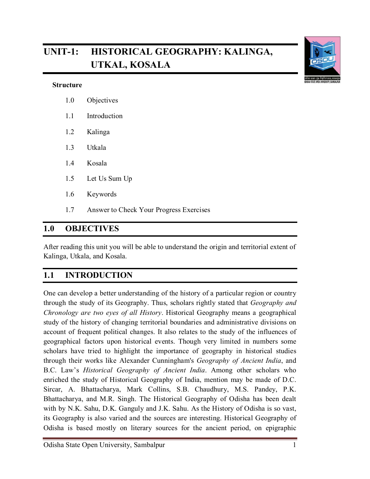# **UNIT-1: HISTORICAL GEOGRAPHY: KALINGA, UTKAL, KOSALA**

#### **Structure**

- 1.0 Objectives
- 1.1 Introduction
- 1.2 Kalinga
- 1.3 Utkala
- 1.4 Kosala
- 1.5 Let Us Sum Up
- 1.6 Keywords
- 1.7 Answer to Check Your Progress Exercises

# **1.0 OBJECTIVES**

After reading this unit you will be able to understand the origin and territorial extent of Kalinga, Utkala, and Kosala.

# **1.1 INTRODUCTION**

One can develop a better understanding of the history of a particular region or country through the study of its Geography. Thus, scholars rightly stated that *Geography and Chronology are two eyes of all History*. Historical Geography means a geographical study of the history of changing territorial boundaries and administrative divisions on account of frequent political changes. It also relates to the study of the influences of geographical factors upon historical events. Though very limited in numbers some scholars have tried to highlight the importance of geography in historical studies through their works like Alexander Cunningham's *Geography of Ancient India*, and B.C. Law's *Historical Geography of Ancient India*. Among other scholars who enriched the study of Historical Geography of India, mention may be made of D.C. Sircar, A. Bhattacharya, Mark Collins, S.B. Chaudhury, M.S. Pandey, P.K. Bhattacharya, and M.R. Singh. The Historical Geography of Odisha has been dealt with by N.K. Sahu, D.K. Ganguly and J.K. Sahu. As the History of Odisha is so vast, its Geography is also varied and the sources are interesting. Historical Geography of Odisha is based mostly on literary sources for the ancient period, on epigraphic



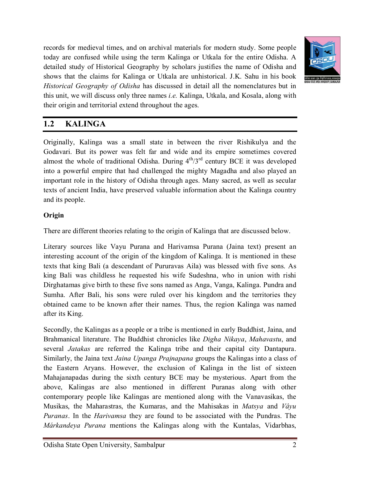records for medieval times, and on archival materials for modern study. Some people today are confused while using the term Kalinga or Utkala for the entire Odisha. A detailed study of Historical Geography by scholars justifies the name of Odisha and shows that the claims for Kalinga or Utkala are unhistorical. J.K. Sahu in his book *Historical Geography of Odisha* has discussed in detail all the nomenclatures but in this unit, we will discuss only three names *i.e.* Kalinga, Utkala, and Kosala, along with their origin and territorial extend throughout the ages.



### **1.2 KALINGA**

Originally, Kalinga was a small state in between the river Rishikulya and the Godavari. But its power was felt far and wide and its empire sometimes covered almost the whole of traditional Odisha. During  $4<sup>th</sup>/3<sup>rd</sup>$  century BCE it was developed into a powerful empire that had challenged the mighty Magadha and also played an important role in the history of Odisha through ages. Many sacred, as well as secular texts of ancient India, have preserved valuable information about the Kalinga country and its people.

#### **Origin**

There are different theories relating to the origin of Kalinga that are discussed below.

Literary sources like Vayu Purana and Harivamsa Purana (Jaina text) present an interesting account of the origin of the kingdom of Kalinga. It is mentioned in these texts that king Bali (a descendant of Pururavas Aila) was blessed with five sons. As king Bali was childless he requested his wife Sudeshna, who in union with rishi Dirghatamas give birth to these five sons named as Anga, Vanga, Kalinga. Pundra and Sumha. After Bali, his sons were ruled over his kingdom and the territories they obtained came to be known after their names. Thus, the region Kalinga was named after its King.

Secondly, the Kalingas as a people or a tribe is mentioned in early Buddhist, Jaina, and Brahmanical literature. The Buddhist chronicles like *Digha Nikaya*, *Mahavastu*, and several *Jatakas* are referred the Kalinga tribe and their capital city Dantapura. Similarly, the Jaina text *Jaina Upanga Prajnapana* groups the Kalingas into a class of the Eastern Aryans. However, the exclusion of Kalinga in the list of sixteen Mahajanapadas during the sixth century BCE may be mysterious. Apart from the above, Kalingas are also mentioned in different Puranas along with other contemporary people like Kalingas are mentioned along with the Vanavasikas, the Musikas, the Maharastras, the Kumaras, and the Mahisakas in *Matsya* and *Vâyu Puranas*. In the *Harivamsa* they are found to be associated with the Pundras. The *Márkandeya Purana* mentions the Kalingas along with the Kuntalas, Vidarbhas,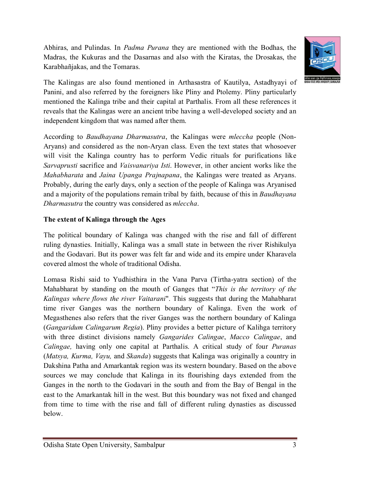Abhiras, and Pulindas. In *Padma Purana* they are mentioned with the Bodhas, the Madras, the Kukuras and the Dasarnas and also with the Kiratas, the Drosakas, the Karabhañjakas, and the Tomaras.



The Kalingas are also found mentioned in Arthasastra of Kautilya, Astadhyayi of Panini, and also referred by the foreigners like Pliny and Ptolemy. Pliny particularly mentioned the Kalinga tribe and their capital at Parthalis. From all these references it reveals that the Kalingas were an ancient tribe having a well-developed society and an independent kingdom that was named after them.

According to *Baudhayana Dharmasutra*, the Kalingas were *mleccha* people (Non-Aryans) and considered as the non-Aryan class. Even the text states that whosoever will visit the Kalinga country has to perform Vedic rituals for purifications like *Sarvaprusti* sacrifice and *Vaisvanariya Isti*. However, in other ancient works like the *Mahabharata* and *Jaina Upanga Prajnapana*, the Kalingas were treated as Aryans. Probably, during the early days, only a section of the people of Kalinga was Aryanised and a majority of the populations remain tribal by faith, because of this in *Baudhayana Dharmasutra* the country was considered as *mleccha*.

#### **The extent of Kalinga through the Ages**

The political boundary of Kalinga was changed with the rise and fall of different ruling dynasties. Initially, Kalinga was a small state in between the river Rishikulya and the Godavari. But its power was felt far and wide and its empire under Kharavela covered almost the whole of traditional Odisha.

Lomasa Rishi said to Yudhisthira in the Vana Parva (Tirtha-yatra section) of the Mahabharat by standing on the mouth of Ganges that "*This is the territory of the Kalingas where flows the river Vaitarani*". This suggests that during the Mahabharat time river Ganges was the northern boundary of Kalinga. Even the work of Megasthenes also refers that the river Ganges was the northern boundary of Kalinga (*Gangaridum Calingarum Regia*). Pliny provides a better picture of Kalihga territory with three distinct divisions namely *Gangarides Calingae*, *Macco Calingae*, and *Calingae,* having only one capital at Parthalis. A critical study of four *Puranas* (*Matsya, Kurma, Vayu,* and *Skanda*) suggests that Kalinga was originally a country in Dakshina Patha and Amarkantak region was its western boundary. Based on the above sources we may conclude that Kalinga in its flourishing days extended from the Ganges in the north to the Godavari in the south and from the Bay of Bengal in the east to the Amarkantak hill in the west. But this boundary was not fixed and changed from time to time with the rise and fall of different ruling dynasties as discussed below.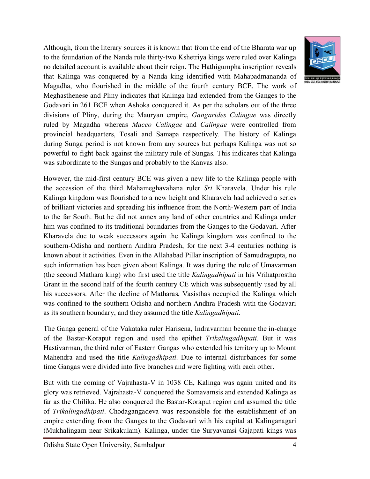Although, from the literary sources it is known that from the end of the Bharata war up to the foundation of the Nanda rule thirty-two Kshetriya kings were ruled over Kalinga no detailed account is available about their reign. The Hathigumpha inscription reveals that Kalinga was conquered by a Nanda king identified with Mahapadmananda of Magadha, who flourished in the middle of the fourth century BCE. The work of Meghasthenese and Pliny indicates that Kalinga had extended from the Ganges to the Godavari in 261 BCE when Ashoka conquered it. As per the scholars out of the three divisions of Pliny, during the Mauryan empire, *Gangarides Calingae* was directly ruled by Magadha whereas *Macco Calingae* and *Calingae* were controlled from provincial headquarters, Tosali and Samapa respectively. The history of Kalinga during Sunga period is not known from any sources but perhaps Kalinga was not so powerful to fight back against the military rule of Sungas. This indicates that Kalinga was subordinate to the Sungas and probably to the Kanvas also.

However, the mid-first century BCE was given a new life to the Kalinga people with the accession of the third Mahameghavahana ruler *Sri* Kharavela. Under his rule Kalinga kingdom was flourished to a new height and Kharavela had achieved a series of brilliant victories and spreading his influence from the North-Western part of India to the far South. But he did not annex any land of other countries and Kalinga under him was confined to its traditional boundaries from the Ganges to the Godavari. After Kharavela due to weak successors again the Kalinga kingdom was confined to the southern-Odisha and northern Andhra Pradesh, for the next 3-4 centuries nothing is known about it activities. Even in the Allahabad Pillar inscription of Samudragupta, no such information has been given about Kalinga. It was during the rule of Umavarman (the second Mathara king) who first used the title *Kalingadhipati* in his Vrihatprostha Grant in the second half of the fourth century CE which was subsequently used by all his successors. After the decline of Matharas, Vasisthas occupied the Kalinga which was confined to the southern Odisha and northern Andhra Pradesh with the Godavari as its southern boundary, and they assumed the title *Kalingadhipati*.

The Ganga general of the Vakataka ruler Harisena, Indravarman became the in-charge of the Bastar-Koraput region and used the epithet *Trikalingadhipati*. But it was Hastivarman, the third ruler of Eastern Gangas who extended his territory up to Mount Mahendra and used the title *Kalingadhipati*. Due to internal disturbances for some time Gangas were divided into five branches and were fighting with each other.

But with the coming of Vajrahasta-V in 1038 CE, Kalinga was again united and its glory was retrieved. Vajrahasta-V conquered the Somavamsis and extended Kalinga as far as the Chilika. He also conquered the Bastar-Koraput region and assumed the title of *Trikalingadhipati*. Chodagangadeva was responsible for the establishment of an empire extending from the Ganges to the Godavari with his capital at Kalinganagari (Mukhalingam near Srikakulam). Kalinga, under the Suryavamsi Gajapati kings was

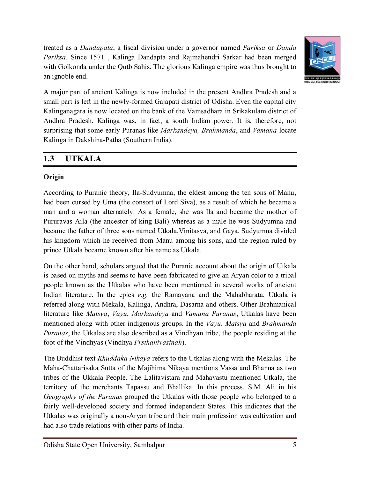treated as a *Dandapata*, a fiscal division under a governor named *Pariksa* or *Danda Pariksa*. Since 1571 , Kalinga Dandapta and Rajmahendri Sarkar had been merged with Golkonda under the Qutb Sahis. The glorious Kalinga empire was thus brought to an ignoble end.



A major part of ancient Kalinga is now included in the present Andhra Pradesh and a small part is left in the newly-formed Gajapati district of Odisha. Even the capital city Kalinganagara is now located on the bank of the Vamsadhara in Srikakulam district of Andhra Pradesh. Kalinga was, in fact, a south Indian power. It is, therefore, not surprising that some early Puranas like *Markandeya, Brahmanda*, and *Vamana* locate Kalinga in Dakshina-Patha (Southern India).

### **1.3 UTKALA**

### **Origin**

According to Puranic theory, Ila-Sudyumna, the eldest among the ten sons of Manu, had been cursed by Uma (the consort of Lord Siva), as a result of which he became a man and a woman alternately. As a female, she was Ila and became the mother of Pururavas Aila (the ancestor of king Bali) whereas as a male he was Sudyumna and became the father of three sons named Utkala,Vinitasva, and Gaya. Sudyumna divided his kingdom which he received from Manu among his sons, and the region ruled by prince Utkala became known after his name as Utkala.

On the other hand, scholars argued that the Puranic account about the origin of Utkala is based on myths and seems to have been fabricated to give an Aryan color to a tribal people known as the Utkalas who have been mentioned in several works of ancient Indian literature. In the epics *e.g.* the Ramayana and the Mahabharata, Utkala is referred along with Mekala, Kalinga, Andhra, Dasarna and others. Other Brahmanical literature like *Matsya*, *Vayu*, *Markandeya* and *Vamana Puranas*, Utkalas have been mentioned along with other indigenous groups. In the *Vayu*. *Matsya* and *Brahmanda Puranas*, the Utkalas are also described as a Vindhyan tribe, the people residing at the foot of the Vindhyas (Vindhya *Prsthanivasinah*).

The Buddhist text *Khuddaka Nikaya* refers to the Utkalas along with the Mekalas. The Maha-Chattarisaka Sutta of the Majihima Nikaya mentions Vassa and Bhanna as two tribes of the Ukkala People. The Lalitavistara and Mahavastu mentioned Utkala, the territory of the merchants Tapassu and Bhallika. In this process, S.M. Ali in his *Geography of the Puranas* grouped the Utkalas with those people who belonged to a fairly well-developed society and formed independent States. This indicates that the Utkalas was originally a non-Aryan tribe and their main profession was cultivation and had also trade relations with other parts of India.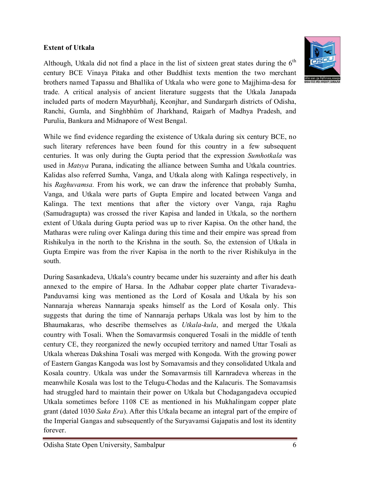#### **Extent of Utkala**



While we find evidence regarding the existence of Utkala during six century BCE, no such literary references have been found for this country in a few subsequent centuries. It was only during the Gupta period that the expression *Sumhotkala* was used in *Matsya* Purana, indicating the alliance between Sumha and Utkala countries. Kalidas also referred Sumha, Vanga, and Utkala along with Kalinga respectively, in his *Raghuvamsa.* From his work, we can draw the inference that probably Sumha, Vanga, and Utkala were parts of Gupta Empire and located between Vanga and Kalinga. The text mentions that after the victory over Vanga, raja Raghu (Samudragupta) was crossed the river Kapisa and landed in Utkala, so the northern extent of Utkala during Gupta period was up to river Kapisa. On the other hand, the Matharas were ruling over Kalinga during this time and their empire was spread from Rishikulya in the north to the Krishna in the south. So, the extension of Utkala in Gupta Empire was from the river Kapisa in the north to the river Rishikulya in the south.

During Sasankadeva, Utkala's country became under his suzerainty and after his death annexed to the empire of Harsa. In the Adhabar copper plate charter Tivaradeva-Panduvamsi king was mentioned as the Lord of Kosala and Utkala by his son Nannaraja whereas Nannaraja speaks himself as the Lord of Kosala only. This suggests that during the time of Nannaraja perhaps Utkala was lost by him to the Bhaumakaras, who describe themselves as *Utkala-kula*, and merged the Utkala country with Tosali. When the Somavarmsis conquered Tosali in the middle of tenth century CE, they reorganized the newly occupied territory and named Uttar Tosali as Utkala whereas Dakshina Tosali was merged with Kongoda. With the growing power of Eastern Gangas Kangoda was lost by Somavamsis and they consolidated Utkala and Kosala country. Utkala was under the Somavarmsis till Karnradeva whereas in the meanwhile Kosala was lost to the Telugu-Chodas and the Kalacuris. The Somavamsis had struggled hard to maintain their power on Utkala but Chodagangadeva occupied Utkala sometimes before 1108 CE as mentioned in his Mukhalingam copper plate grant (dated 1030 *Saka Era*). After this Utkala became an integral part of the empire of the Imperial Gangas and subsequently of the Suryavamsi Gajapatis and lost its identity forever.

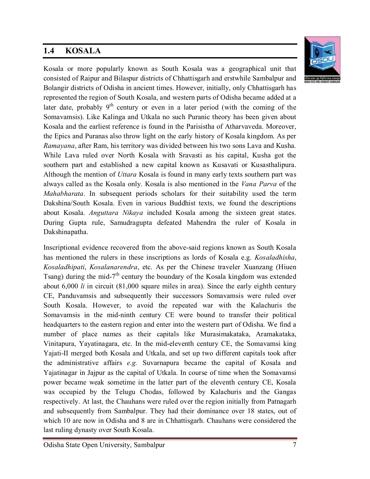# **1.4 KOSALA**



Kosala or more popularly known as South Kosala was a geographical unit that consisted of Raipur and Bilaspur districts of Chhattisgarh and erstwhile Sambalpur and Bolangir districts of Odisha in ancient times. However, initially, only Chhattisgarh has represented the region of South Kosala, and western parts of Odisha became added at a later date, probably  $9<sup>th</sup>$  century or even in a later period (with the coming of the Somavamsis). Like Kalinga and Utkala no such Puranic theory has been given about Kosala and the earliest reference is found in the Parisistha of Atharvaveda. Moreover, the Epics and Puranas also throw light on the early history of Kosala kingdom. As per *Ramayana*, after Ram, his territory was divided between his two sons Lava and Kusha. While Lava ruled over North Kosala with Sravasti as his capital, Kusha got the southern part and established a new capital known as Kusavati or Kusasthalipura. Although the mention of *Uttara* Kosala is found in many early texts southern part was always called as the Kosala only. Kosala is also mentioned in the *Vana Parva* of the *Mahabharata*. In subsequent periods scholars for their suitability used the term Dakshina/South Kosala. Even in various Buddhist texts, we found the descriptions about Kosala. *Anguttara Nikaya* included Kosala among the sixteen great states. During Gupta rule, Samudragupta defeated Mahendra the ruler of Kosala in Dakshinapatha.

Inscriptional evidence recovered from the above-said regions known as South Kosala has mentioned the rulers in these inscriptions as lords of Kosala e.g. *Kosaladhisha*, *Kosaladhipati*, *Kosalanarendra*, etc. As per the Chinese traveler Xuanzang (Hiuen Tsang) during the mid- $7<sup>th</sup>$  century the boundary of the Kosala kingdom was extended about 6,000 *li* in circuit (81,000 square miles in area). Since the early eighth century CE, Panduvamsis and subsequently their successors Somavamsis were ruled over South Kosala. However, to avoid the repeated war with the Kalachuris the Somavamsis in the mid-ninth century CE were bound to transfer their political headquarters to the eastern region and enter into the western part of Odisha. We find a number of place names as their capitals like Murasimakataka, Aramakataka, Vinitapura, Yayatinagara, etc. In the mid-eleventh century CE, the Somavamsi king Yajati-II merged both Kosala and Utkala, and set up two different capitals took after the administrative affairs *e.g.* Suvarnapura became the capital of Kosala and Yajatinagar in Jajpur as the capital of Utkala. In course of time when the Somavamsi power became weak sometime in the latter part of the eleventh century CE, Kosala was occupied by the Telugu Chodas, followed by Kalachuris and the Gangas respectively. At last, the Chauhans were ruled over the region initially from Patnagarh and subsequently from Sambalpur. They had their dominance over 18 states, out of which 10 are now in Odisha and 8 are in Chhattisgarh. Chauhans were considered the last ruling dynasty over South Kosala.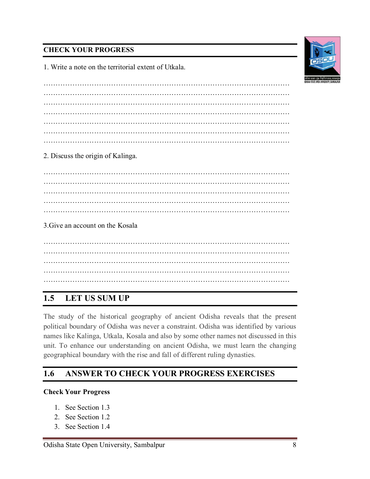#### **CHECK YOUR PROGRESS**

1. Write a note on the territorial extent of Utkala.

………………………………………………………………………………………… ………………………………………………………………………………………… ………………………………………………………………………………………… ………………………………………………………………………………………… …………………………………………………………………………………………

2. Discuss the origin of Kalinga.

………………………………………………………………………………………… ………………………………………………………………………………………… ………………………………………………………………………………………… ………………………………………………………………………………………… …………………………………………………………………………………………

3.Give an account on the Kosala

………………………………………………………………………………………… ………………………………………………………………………………………… ………………………………………………………………………………………… ………………………………………………………………………………………… …………………………………………………………………………………………

# **1.5 LET US SUM UP**

The study of the historical geography of ancient Odisha reveals that the present political boundary of Odisha was never a constraint. Odisha was identified by various names like Kalinga, Utkala, Kosala and also by some other names not discussed in this unit. To enhance our understanding on ancient Odisha, we must learn the changing geographical boundary with the rise and fall of different ruling dynasties.

### **1.6 ANSWER TO CHECK YOUR PROGRESS EXERCISES**

#### **Check Your Progress**

- 1. See Section 1.3
- 2. See Section 1.2
- 3. See Section 1.4

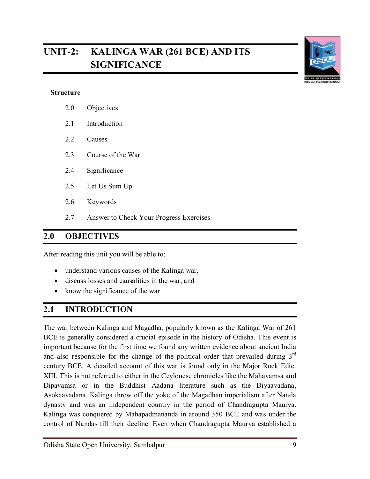# **UNIT-2: KALINGA WAR (261 BCE) AND ITS SIGNIFICANCE**



#### **Structure**

- 2.0 Objectives
- 2.1 Introduction
- 2.2 Causes
- 2.3 Course of the War
- 2.4 Significance
- 2.5 Let Us Sum Up
- 2.6 Keywords
- 2.7 Answer to Check Your Progress Exercises

#### **2.0 OBJECTIVES**

After reading this unit you will be able to;

- understand various causes of the Kalinga war,
- discuss losses and causalities in the war, and
- know the significance of the war

### **2.1 INTRODUCTION**

The war between Kalinga and Magadha, popularly known as the Kalinga War of 261 BCE is generally considered a crucial episode in the history of Odisha. This event is important because for the first time we found any written evidence about ancient India and also responsible for the change of the political order that prevailed during  $3<sup>rd</sup>$ century BCE. A detailed account of this war is found only in the Major Rock Edict XIII. This is not referred to either in the Ceylonese chronicles like the Mahavamsa and Dipavamsa or in the Buddhist Aadana literature such as the Diyaavadana, Asokaavadana. Kalinga threw off the yoke of the Magadhan imperialism after Nanda dynasty and was an independent country in the period of Chandragupta Maurya. Kalinga was conquered by Mahapadmananda in around 350 BCE and was under the control of Nandas till their decline. Even when Chandragupta Maurya established a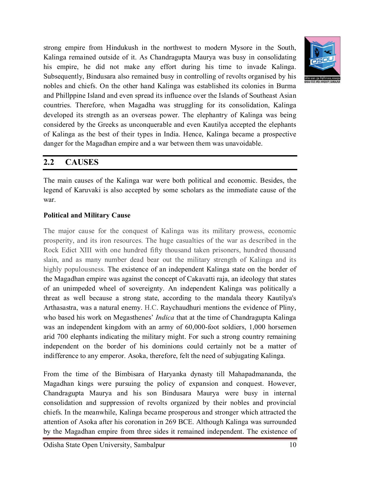

strong empire from Hindukush in the northwest to modern Mysore in the South, Kalinga remained outside of it. As Chandragupta Maurya was busy in consolidating his empire, he did not make any effort during his time to invade Kalinga. Subsequently, Bindusara also remained busy in controlling of revolts organised by his nobles and chiefs. On the other hand Kalinga was established its colonies in Burma and Phillppine Island and even spread its influence over the Islands of Southeast Asian countries. Therefore, when Magadha was struggling for its consolidation, Kalinga developed its strength as an overseas power. The elephantry of Kalinga was being considered by the Greeks as unconquerable and even Kautilya accepted the elephants of Kalinga as the best of their types in India. Hence, Kalinga became a prospective danger for the Magadhan empire and a war between them was unavoidable.

### **2.2 CAUSES**

The main causes of the Kalinga war were both political and economic. Besides, the legend of Karuvaki is also accepted by some scholars as the immediate cause of the war.

#### **Political and Military Cause**

The major cause for the conquest of Kalinga was its military prowess, economic prosperity, and its iron resources. The huge casualties of the war as described in the Rock Edict XIII with one hundred fifty thousand taken prisoners, hundred thousand slain, and as many number dead bear out the military strength of Kalinga and its highly populousness. The existence of an independent Kalinga state on the border of the Magadhan empire was against the concept of Cakavatti raja, an ideology that states of an unimpeded wheel of sovereignty. An independent Kalinga was politically a threat as well because a strong state, according to the mandala theory Kautilya's Arthasastra, was a natural enemy. H.C. Raychaudhuri mentions the evidence of Pliny, who based his work on Megasthenes' *Indica* that at the time of Chandragupta Kalinga was an independent kingdom with an army of 60,000-foot soldiers, 1,000 horsemen arid 700 elephants indicating the military might. For such a strong country remaining independent on the border of his dominions could certainly not be a matter of indifference to any emperor. Asoka, therefore, felt the need of subjugating Kalinga.

From the time of the Bimbisara of Haryanka dynasty till Mahapadmananda, the Magadhan kings were pursuing the policy of expansion and conquest. However, Chandragupta Maurya and his son Bindusara Maurya were busy in internal consolidation and suppression of revolts organized by their nobles and provincial chiefs. In the meanwhile, Kalinga became prosperous and stronger which attracted the attention of Asoka after his coronation in 269 BCE. Although Kalinga was surrounded by the Magadhan empire from three sides it remained independent. The existence of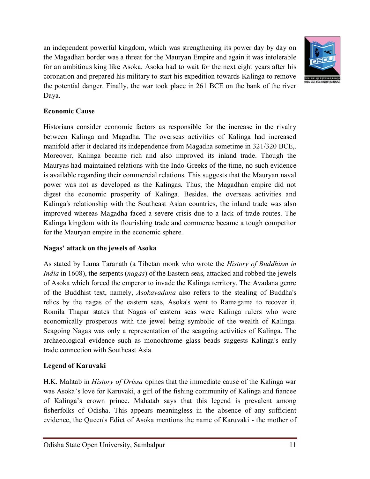an independent powerful kingdom, which was strengthening its power day by day on the Magadhan border was a threat for the Mauryan Empire and again it was intolerable for an ambitious king like Asoka. Asoka had to wait for the next eight years after his coronation and prepared his military to start his expedition towards Kalinga to remove the potential danger. Finally, the war took place in 261 BCE on the bank of the river Daya.



#### **Economic Cause**

Historians consider economic factors as responsible for the increase in the rivalry between Kalinga and Magadha. The overseas activities of Kalinga had increased manifold after it declared its independence from Magadha sometime in 321/320 BCE,. Moreover, Kalinga became rich and also improved its inland trade. Though the Mauryas had maintained relations with the Indo-Greeks of the time, no such evidence is available regarding their commercial relations. This suggests that the Mauryan naval power was not as developed as the Kalingas. Thus, the Magadhan empire did not digest the economic prosperity of Kalinga. Besides, the overseas activities and Kalinga's relationship with the Southeast Asian countries, the inland trade was also improved whereas Magadha faced a severe crisis due to a lack of trade routes. The Kalinga kingdom with its flourishing trade and commerce became a tough competitor for the Mauryan empire in the economic sphere.

#### **Nagas' attack on the jewels of Asoka**

As stated by Lama Taranath (a Tibetan monk who wrote the *History of Buddhism in India* in 1608), the serpents (*nagas*) of the Eastern seas, attacked and robbed the jewels of Asoka which forced the emperor to invade the Kalinga territory. The Avadana genre of the Buddhist text, namely, *Asokavadana* also refers to the stealing of Buddha's relics by the nagas of the eastern seas, Asoka's went to Ramagama to recover it. Romila Thapar states that Nagas of eastern seas were Kalinga rulers who were economically prosperous with the jewel being symbolic of the wealth of Kalinga. Seagoing Nagas was only a representation of the seagoing activities of Kalinga. The archaeological evidence such as monochrome glass beads suggests Kalinga's early trade connection with Southeast Asia

#### **Legend of Karuvaki**

H.K. Mahtab in *History of Orissa* opines that the immediate cause of the Kalinga war was Asoka's love for Karuvaki, a girl of the fishing community of Kalinga and fiancee of Kalinga's crown prince. Mahatab says that this legend is prevalent among fisherfolks of Odisha. This appears meaningless in the absence of any sufficient evidence, the Queen's Edict of Asoka mentions the name of Karuvaki - the mother of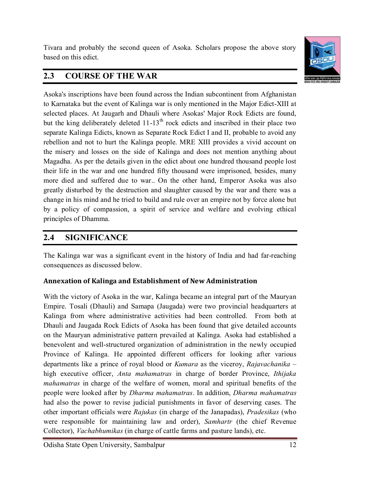Tivara and probably the second queen of Asoka. Scholars propose the above story based on this edict.



# **2.3 COURSE OF THE WAR**

Asoka's inscriptions have been found across the Indian subcontinent from Afghanistan to Karnataka but the event of Kalinga war is only mentioned in the Major Edict-XIII at selected places. At Jaugarh and Dhauli where Asokas' Major Rock Edicts are found, but the king deliberately deleted  $11$ -13<sup>th</sup> rock edicts and inscribed in their place two separate Kalinga Edicts, known as Separate Rock Edict I and II, probable to avoid any rebellion and not to hurt the Kalinga people. MRE XIII provides a vivid account on the misery and losses on the side of Kalinga and does not mention anything about Magadha. As per the details given in the edict about one hundred thousand people lost their life in the war and one hundred fifty thousand were imprisoned, besides, many more died and suffered due to war.. On the other hand, Emperor Asoka was also greatly disturbed by the destruction and slaughter caused by the war and there was a change in his mind and he tried to build and rule over an empire not by force alone but by a policy of compassion, a spirit of service and welfare and evolving ethical principles of Dhamma.

# **2.4 SIGNIFICANCE**

The Kalinga war was a significant event in the history of India and had far-reaching consequences as discussed below.

### **Annexation of Kalinga and Establishment of New Administration**

With the victory of Asoka in the war, Kalinga became an integral part of the Mauryan Empire. Tosali (Dhauli) and Samapa (Jaugada) were two provincial headquarters at Kalinga from where administrative activities had been controlled. From both at Dhauli and Jaugada Rock Edicts of Asoka has been found that give detailed accounts on the Mauryan administrative pattern prevailed at Kalinga. Asoka had established a benevolent and well-structured organization of administration in the newly occupied Province of Kalinga. He appointed different officers for looking after various departments like a prince of royal blood or *Kumara* as the viceroy, *Rajavachanika* – high executive officer, *Anta mahamatras* in charge of border Province, *Ithijaka mahamatras* in charge of the welfare of women, moral and spiritual benefits of the people were looked after by *Dharma mahamatras*. In addition, *Dharma mahamatras* had also the power to revise judicial punishments in favor of deserving cases. The other important officials were *Rajukas* (in charge of the Janapadas), *Pradesikas* (who were responsible for maintaining law and order), *Samhartr* (the chief Revenue Collector), *Vachabhumikas* (in charge of cattle farms and pasture lands), etc.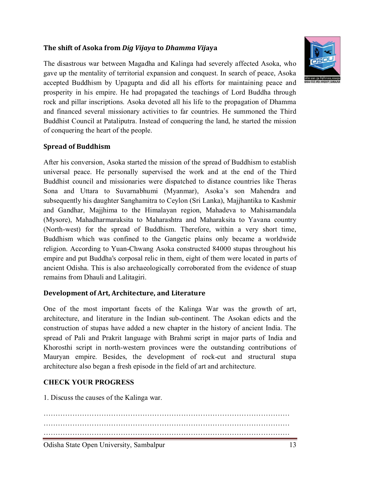#### **The shift of Asoka from** *Dig Vijaya* **to** *Dhamma Vij***aya**



The disastrous war between Magadha and Kalinga had severely affected Asoka, who gave up the mentality of territorial expansion and conquest. In search of peace, Asoka accepted Buddhism by Upagupta and did all his efforts for maintaining peace and prosperity in his empire. He had propagated the teachings of Lord Buddha through rock and pillar inscriptions. Asoka devoted all his life to the propagation of Dhamma and financed several missionary activities to far countries. He summoned the Third Buddhist Council at Pataliputra. Instead of conquering the land, he started the mission of conquering the heart of the people.

#### **Spread of Buddhism**

After his conversion, Asoka started the mission of the spread of Buddhism to establish universal peace. He personally supervised the work and at the end of the Third Buddhist council and missionaries were dispatched to distance countries like Theras Sona and Uttara to Suvarnabhumi (Myanmar), Asoka's son Mahendra and subsequently his daughter Sanghamitra to Ceylon (Sri Lanka), Majjhantika to Kashmir and Gandhar, Majjhima to the Himalayan region, Mahadeva to Mahisamandala (Mysore), Mahadharmaraksita to Maharashtra and Maharaksita to Yavana country (North-west) for the spread of Buddhism. Therefore, within a very short time, Buddhism which was confined to the Gangetic plains only became a worldwide religion. According to Yuan-Chwang Asoka constructed 84000 stupas throughout his empire and put Buddha's corposal relic in them, eight of them were located in parts of ancient Odisha. This is also archaeologically corroborated from the evidence of stuap remains from Dhauli and Lalitagiri.

#### **Development of Art, Architecture, and Literature**

One of the most important facets of the Kalinga War was the growth of art, architecture, and literature in the Indian sub-continent. The Asokan edicts and the construction of stupas have added a new chapter in the history of ancient India. The spread of Pali and Prakrit language with Brahmi script in major parts of India and Khorosthi script in north-western provinces were the outstanding contributions of Mauryan empire. Besides, the development of rock-cut and structural stupa architecture also began a fresh episode in the field of art and architecture.

#### **CHECK YOUR PROGRESS**

1. Discuss the causes of the Kalinga war.

………………………………………………………………………………………… ………………………………………………………………………………………… …………………………………………………………………………………………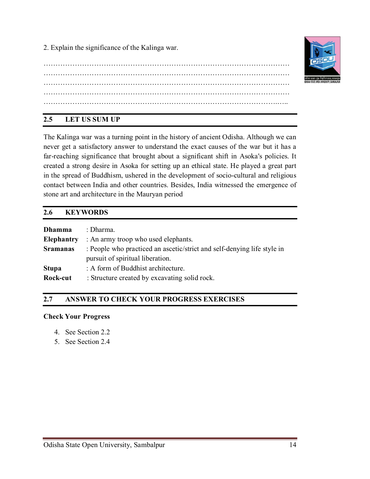2. Explain the significance of the Kalinga war.

………………………………………………………………………………………… ………………………………………………………………………………………… ………………………………………………………………………………………… ………………………………………………………………………………………… …………………………………………………………………………………….…..

### **2.5 LET US SUM UP**

The Kalinga war was a turning point in the history of ancient Odisha. Although we can never get a satisfactory answer to understand the exact causes of the war but it has a far-reaching significance that brought about a significant shift in Asoka's policies. It created a strong desire in Asoka for setting up an ethical state. He played a great part in the spread of Buddhism, ushered in the development of socio-cultural and religious contact between India and other countries. Besides, India witnessed the emergence of stone art and architecture in the Mauryan period

### **2.6 KEYWORDS**

| <b>Dhamma</b>     | : Dharma.                                                               |  |
|-------------------|-------------------------------------------------------------------------|--|
| <b>Elephantry</b> | : An army troop who used elephants.                                     |  |
| <b>Sramanas</b>   | : People who practiced an ascetic/strict and self-denying life style in |  |
|                   | pursuit of spiritual liberation.                                        |  |
| <b>Stupa</b>      | : A form of Buddhist architecture.                                      |  |
| Rock-cut          | : Structure created by excavating solid rock.                           |  |

### **2.7 ANSWER TO CHECK YOUR PROGRESS EXERCISES**

#### **Check Your Progress**

- 4. See Section 2.2
- 5. See Section 2.4

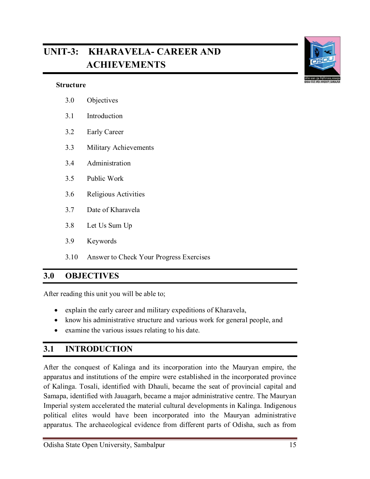# **UNIT-3: KHARAVELA- CAREER AND ACHIEVEMENTS**



| 3.0 | Objectives            |
|-----|-----------------------|
| 3.1 | Introduction          |
| 3.2 | <b>Early Career</b>   |
| 3.3 | Military Achievements |
| 3.4 | Administration        |
| 3.5 | Public Work           |
| 3.6 | Religious Activities  |
| 3.7 | Date of Kharavela     |
| 3.8 | Let Us Sum Up         |
| 3.9 | Keywords              |

3.10 Answer to Check Your Progress Exercises

### **3.0 OBJECTIVES**

After reading this unit you will be able to;

- explain the early career and military expeditions of Kharavela,
- know his administrative structure and various work for general people, and
- examine the various issues relating to his date.

# **3.1 INTRODUCTION**

After the conquest of Kalinga and its incorporation into the Mauryan empire, the apparatus and institutions of the empire were established in the incorporated province of Kalinga. Tosali, identified with Dhauli, became the seat of provincial capital and Samapa, identified with Jauagarh, became a major administrative centre. The Mauryan Imperial system accelerated the material cultural developments in Kalinga. Indigenous political elites would have been incorporated into the Mauryan administrative apparatus. The archaeological evidence from different parts of Odisha, such as from

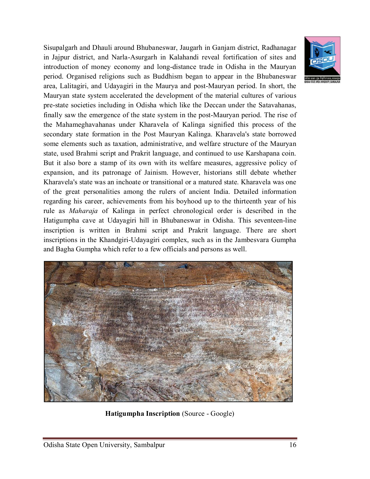Sisupalgarh and Dhauli around Bhubaneswar, Jaugarh in Ganjam district, Radhanagar in Jajpur district, and Narla-Asurgarh in Kalahandi reveal fortification of sites and introduction of money economy and long-distance trade in Odisha in the Mauryan period. Organised religions such as Buddhism began to appear in the Bhubaneswar area, Lalitagiri, and Udayagiri in the Maurya and post-Mauryan period. In short, the Mauryan state system accelerated the development of the material cultures of various pre-state societies including in Odisha which like the Deccan under the Satavahanas, finally saw the emergence of the state system in the post-Mauryan period. The rise of the Mahameghavahanas under Kharavela of Kalinga signified this process of the secondary state formation in the Post Mauryan Kalinga. Kharavela's state borrowed some elements such as taxation, administrative, and welfare structure of the Mauryan state, used Brahmi script and Prakrit language, and continued to use Karshapana coin. But it also bore a stamp of its own with its welfare measures, aggressive policy of expansion, and its patronage of Jainism. However, historians still debate whether Kharavela's state was an inchoate or transitional or a matured state. Kharavela was one of the great personalities among the rulers of ancient India. Detailed information regarding his career, achievements from his boyhood up to the thirteenth year of his rule as *Maharaja* of Kalinga in perfect chronological order is described in the Hatigumpha cave at Udayagiri hill in Bhubaneswar in Odisha. This seventeen-line inscription is written in Brahmi script and Prakrit language. There are short inscriptions in the Khandgiri-Udayagiri complex, such as in the Jambesvara Gumpha and Bagha Gumpha which refer to a few officials and persons as well.





**Hatigumpha Inscription** (Source - Google)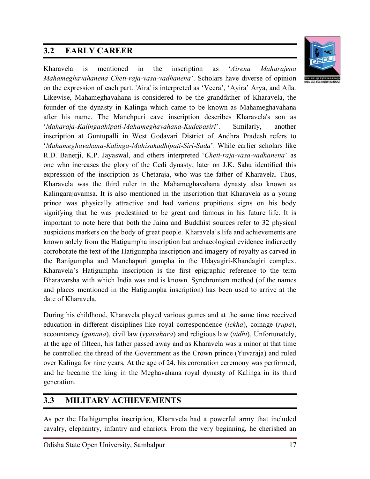# **3.2 EARLY CAREER**



Kharavela is mentioned in the inscription as '*Airena Maharajena Mahameghavahanena Cheti-raja-vasa-vadhanena*'. Scholars have diverse of opinion on the expression of each part. 'Aira' is interpreted as 'Veera', 'Ayira' Arya, and Aila. Likewise, Mahameghavahana is considered to be the grandfather of Kharavela, the founder of the dynasty in Kalinga which came to be known as Mahameghavahana after his name. The Manchpuri cave inscription describes Kharavela's son as '*Maharaja-Kalingadhipati-Mahameghavahana-Kudepasiri*'. Similarly, another inscription at Guntupalli in West Godavari District of Andhra Pradesh refers to '*Mahameghavahana-Kalinga-Mahisakadhipati-Siri-Sada*'. While earlier scholars like R.D. Banerji, K.P. Jayaswal, and others interpreted '*Cheti-raja-vasa-vadhanena*' as one who increases the glory of the Cedi dynasty, later on J.K. Sahu identified this expression of the inscription as Chetaraja, who was the father of Kharavela. Thus, Kharavela was the third ruler in the Mahameghavahana dynasty also known as Kalingarajavamsa. It is also mentioned in the inscription that Kharavela as a young prince was physically attractive and had various propitious signs on his body signifying that he was predestined to be great and famous in his future life. It is important to note here that both the Jaina and Buddhist sources refer to 32 physical auspicious markers on the body of great people. Kharavela's life and achievements are known solely from the Hatigumpha inscription but archaeological evidence indicrectly corroborate the text of the Hatigumpha inscription and imagery of royalty as carved in the Ranigumpha and Manchapuri gumpha in the Udayagiri-Khandagiri complex. Kharavela's Hatigumpha inscription is the first epigraphic reference to the term Bharavarsha with which India was and is known. Synchronism method (of the names and places mentioned in the Hatigumpha inscription) has been used to arrive at the date of Kharavela.

During his childhood, Kharavela played various games and at the same time received education in different disciplines like royal correspondence (*lekha*), coinage (*rupa*), accountancy (*ganana*), civil law (*vyavahara*) and religious law (*vidhi*). Unfortunately, at the age of fifteen, his father passed away and as Kharavela was a minor at that time he controlled the thread of the Government as the Crown prince (Yuvaraja) and ruled over Kalinga for nine years. At the age of 24, his coronation ceremony was performed, and he became the king in the Meghavahana royal dynasty of Kalinga in its third generation.

# **3.3 MILITARY ACHIEVEMENTS**

As per the Hathigumpha inscription, Kharavela had a powerful army that included cavalry, elephantry, infantry and chariots. From the very beginning, he cherished an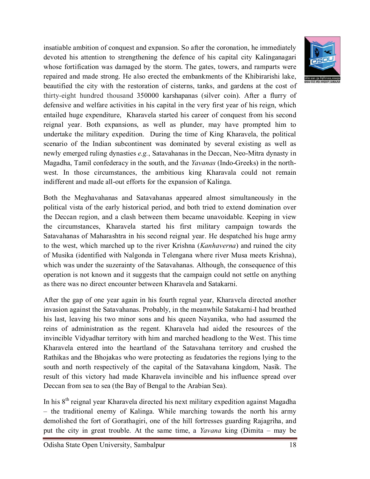insatiable ambition of conquest and expansion. So after the coronation, he immediately devoted his attention to strengthening the defence of his capital city Kalinganagari whose fortification was damaged by the storm. The gates, towers, and ramparts were repaired and made strong. He also erected the embankments of the Khibirarishi lake, beautified the city with the restoration of cisterns, tanks, and gardens at the cost of thirty-eight hundred thousand 350000 karshapanas (silver coin). After a flurry of defensive and welfare activities in his capital in the very first year of his reign, which entailed huge expenditure, Kharavela started his career of conquest from his second reignal year. Both expansions, as well as plunder, may have prompted him to undertake the military expedition. During the time of King Kharavela, the political scenario of the Indian subcontinent was dominated by several existing as well as newly emerged ruling dynasties *e.g.*, Satavahanas in the Deccan, Neo-Mitra dynasty in Magadha, Tamil confederacy in the south, and the *Yavanas* (Indo-Greeks) in the northwest. In those circumstances, the ambitious king Kharavala could not remain indifferent and made all-out efforts for the expansion of Kalinga.

Both the Meghavahanas and Satavahanas appeared almost simultaneously in the political vista of the early historical period, and both tried to extend domination over the Deccan region, and a clash between them became unavoidable. Keeping in view the circumstances, Kharavela started his first military campaign towards the Satavahanas of Maharashtra in his second reignal year. He despatched his huge army to the west, which marched up to the river Krishna (*Kanhaverna*) and ruined the city of Musika (identified with Nalgonda in Telengana where river Musa meets Krishna), which was under the suzerainty of the Satavahanas. Although, the consequence of this operation is not known and it suggests that the campaign could not settle on anything as there was no direct encounter between Kharavela and Satakarni.

After the gap of one year again in his fourth regnal year, Kharavela directed another invasion against the Satavahanas. Probably, in the meanwhile Satakarni-I had breathed his last, leaving his two minor sons and his queen Nayanika, who had assumed the reins of administration as the regent. Kharavela had aided the resources of the invincible Vidyadhar territory with him and marched headlong to the West. This time Kharavela entered into the heartland of the Satavahana territory and crushed the Rathikas and the Bhojakas who were protecting as feudatories the regions lying to the south and north respectively of the capital of the Satavahana kingdom, Nasik. The result of this victory had made Kharavela invincible and his influence spread over Deccan from sea to sea (the Bay of Bengal to the Arabian Sea).

In his  $8<sup>th</sup>$  reignal year Kharavela directed his next military expedition against Magadha – the traditional enemy of Kalinga. While marching towards the north his army demolished the fort of Gorathagiri, one of the hill fortresses guarding Rajagriha, and put the city in great trouble. At the same time, a *Yavana* king (Dimita – may be

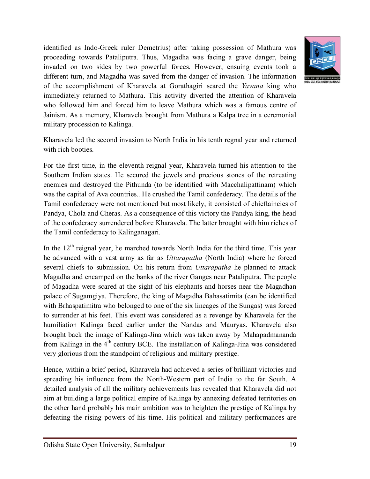identified as Indo-Greek ruler Demetrius) after taking possession of Mathura was proceeding towards Pataliputra. Thus, Magadha was facing a grave danger, being invaded on two sides by two powerful forces. However, ensuing events took a different turn, and Magadha was saved from the danger of invasion. The information of the accomplishment of Kharavela at Gorathagiri scared the *Yavana* king who immediately returned to Mathura. This activity diverted the attention of Kharavela who followed him and forced him to leave Mathura which was a famous centre of Jainism. As a memory, Kharavela brought from Mathura a Kalpa tree in a ceremonial military procession to Kalinga.



Kharavela led the second invasion to North India in his tenth regnal year and returned with rich booties.

For the first time, in the eleventh reignal year, Kharavela turned his attention to the Southern Indian states. He secured the jewels and precious stones of the retreating enemies and destroyed the Pithunda (to be identified with Macchalipattinam) which was the capital of Ava countries.. He crushed the Tamil confederacy. The details of the Tamil confederacy were not mentioned but most likely, it consisted of chieftaincies of Pandya, Chola and Cheras. As a consequence of this victory the Pandya king, the head of the confederacy surrendered before Kharavela. The latter brought with him riches of the Tamil confederacy to Kalinganagari.

In the  $12<sup>th</sup>$  reignal year, he marched towards North India for the third time. This year he advanced with a vast army as far as *Uttarapatha* (North India) where he forced several chiefs to submission. On his return from *Uttarapatha* he planned to attack Magadha and encamped on the banks of the river Ganges near Pataliputra. The people of Magadha were scared at the sight of his elephants and horses near the Magadhan palace of Sugamgiya. Therefore, the king of Magadha Bahasatimita (can be identified with Brhaspatimitra who belonged to one of the six lineages of the Sungas) was forced to surrender at his feet. This event was considered as a revenge by Kharavela for the humiliation Kalinga faced earlier under the Nandas and Mauryas. Kharavela also brought back the image of Kalinga-Jina which was taken away by Mahapadmananda from Kalinga in the 4<sup>th</sup> century BCE. The installation of Kalinga-Jina was considered very glorious from the standpoint of religious and military prestige.

Hence, within a brief period, Kharavela had achieved a series of brilliant victories and spreading his influence from the North-Western part of India to the far South. A detailed analysis of all the military achievements has revealed that Kharavela did not aim at building a large political empire of Kalinga by annexing defeated territories on the other hand probably his main ambition was to heighten the prestige of Kalinga by defeating the rising powers of his time. His political and military performances are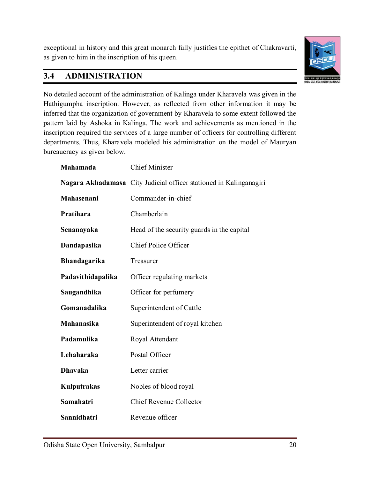exceptional in history and this great monarch fully justifies the epithet of Chakravarti, as given to him in the inscription of his queen.



# **3.4 ADMINISTRATION**

No detailed account of the administration of Kalinga under Kharavela was given in the Hathigumpha inscription. However, as reflected from other information it may be inferred that the organization of government by Kharavela to some extent followed the pattern laid by Ashoka in Kalinga. The work and achievements as mentioned in the inscription required the services of a large number of officers for controlling different departments. Thus, Kharavela modeled his administration on the model of Mauryan bureaucracy as given below.

| Mahamada          | <b>Chief Miníster</b>                                              |
|-------------------|--------------------------------------------------------------------|
|                   | Nagara Akhadamasa City Judicial officer stationed in Kalinganagiri |
| Mahasenani        | Commander-in-chief                                                 |
| Pratihara         | Chamberlain                                                        |
| Senanayaka        | Head of the security guards in the capital                         |
| Dandapasika       | Chief Police Officer                                               |
| Bhandagarika      | Treasurer                                                          |
| Padavithidapalika | Officer regulating markets                                         |
| Saugandhika       | Officer for perfumery                                              |
| Gomanadalika      | Superintendent of Cattle                                           |
| Mahanasika        | Superintendent of royal kitchen                                    |
| Padamulika        | Royal Attendant                                                    |
| Lehaharaka        | Postal Officer                                                     |
| <b>Dhavaka</b>    | Letter carrier                                                     |
| Kulputrakas       | Nobles of blood royal                                              |
| Samahatri         | <b>Chief Revenue Collector</b>                                     |
| Sannidhatri       | Revenue officer                                                    |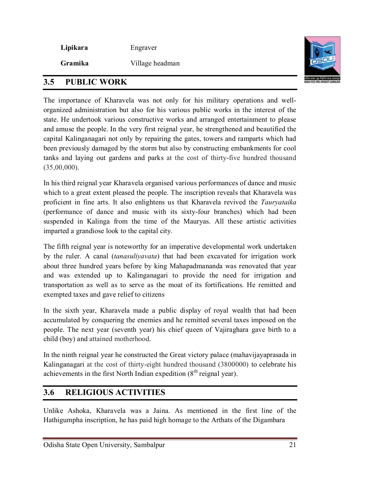**Lipikara** Engraver

**Gramika** Village headman



### **3.5 PUBLIC WORK**

The importance of Kharavela was not only for his military operations and wellorganized administration but also for his various public works in the interest of the state. He undertook various constructive works and arranged entertainment to please and amuse the people. In the very first reignal year, he strengthened and beautified the capital Kalinganagari not only by repairing the gates, towers and ramparts which had been previously damaged by the storm but also by constructing embankments for cool tanks and laying out gardens and parks at the cost of thirty-five hundred thousand (35,00,000).

In his third reignal year Kharavela organised various performances of dance and music which to a great extent pleased the people. The inscription reveals that Kharavela was proficient in fine arts. It also enlightens us that Kharavela revived the *Tauryataika* (performance of dance and music with its sixty-four branches) which had been suspended in Kalinga from the time of the Mauryas. All these artistic activities imparted a grandiose look to the capital city.

The fifth reignal year is noteworthy for an imperative developmental work undertaken by the ruler. A canal (*tanasuliyavata*) that had been excavated for irrigation work about three hundred years before by king Mahapadmananda was renovated that year and was extended up to Kalinganagari to provide the need for irrigation and transportation as well as to serve as the moat of its fortifications. He remitted and exempted taxes and gave relief to citizens

In the sixth year, Kharavela made a public display of royal wealth that had been accumulated by conquering the enemies and he remitted several taxes imposed on the people. The next year (seventh year) his chief queen of Vajiraghara gave birth to a child (boy) and attained motherhood.

In the ninth reignal year he constructed the Great victory palace (mahavijayaprasada in Kalinganagari at the cost of thirty-eight hundred thousand (3800000) to celebrate his achievements in the first North Indian expedition  $(8<sup>th</sup>$  reignal year).

# **3.6 RELIGIOUS ACTIVITIES**

Unlike Ashoka, Kharavela was a Jaina. As mentioned in the first line of the Hathigumpha inscription, he has paid high homage to the Arthats of the Digambara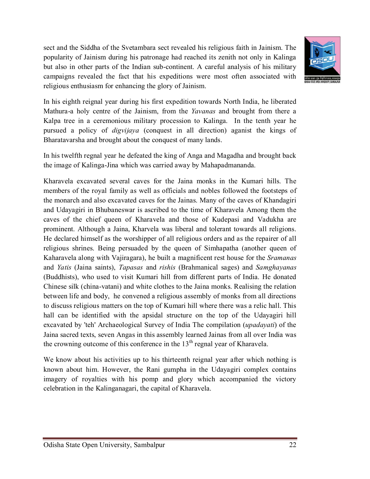sect and the Siddha of the Svetambara sect revealed his religious faith in Jainism. The popularity of Jainism during his patronage had reached its zenith not only in Kalinga but also in other parts of the Indian sub-continent. A careful analysis of his military campaigns revealed the fact that his expeditions were most often associated with religious enthusiasm for enhancing the glory of Jainism.



In his eighth reignal year during his first expedition towards North India, he liberated Mathura-a holy centre of the Jainism, from the *Yavanas* and brought from there a Kalpa tree in a ceremonious military procession to Kalinga. In the tenth year he pursued a policy of *digvijaya* (conquest in all direction) aganist the kings of Bharatavarsha and brought about the conquest of many lands.

In his twelfth regnal year he defeated the king of Anga and Magadha and brought back the image of Kalinga-Jina which was carried away by Mahapadmananda.

Kharavela excavated several caves for the Jaina monks in the Kumari hills. The members of the royal family as well as officials and nobles followed the footsteps of the monarch and also excavated caves for the Jainas. Many of the caves of Khandagiri and Udayagiri in Bhubaneswar is ascribed to the time of Kharavela Among them the caves of the chief queen of Kharavela and those of Kudepasi and Vadukha are prominent. Although a Jaina, Kharvela was liberal and tolerant towards all religions. He declared himself as the worshipper of all religious orders and as the repairer of all religious shrines. Being persuaded by the queen of Simhapatha (another queen of Kaharavela along with Vajiragara), he built a magnificent rest house for the *Sramanas* and *Yatis* (Jaina saints), *Tapasas* and *rishis* (Brahmanical sages) and *Samghayanas* (Buddhists), who used to visit Kumari hill from different parts of India. He donated Chinese silk (china-vatani) and white clothes to the Jaina monks. Realising the relation between life and body, he convened a religious assembly of monks from all directions to discuss religious matters on the top of Kumari hill where there was a relic hall. This hall can be identified with the apsidal structure on the top of the Udayagiri hill excavated by 'teh' Archaeological Survey of India The compilation (*upadayati*) of the Jaina sacred texts, seven Angas in this assembly learned Jainas from all over India was the crowning outcome of this conference in the  $13<sup>th</sup>$  regnal year of Kharavela.

We know about his activities up to his thirteenth reignal year after which nothing is known about him. However, the Rani gumpha in the Udayagiri complex contains imagery of royalties with his pomp and glory which accompanied the victory celebration in the Kalinganagari, the capital of Kharavela.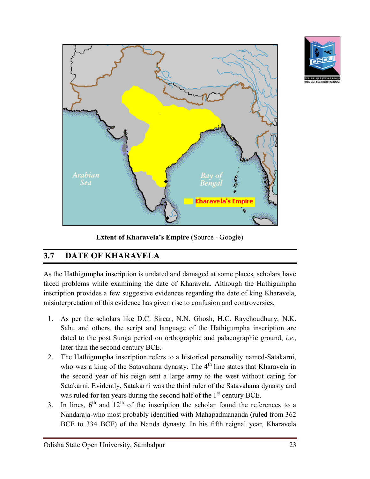



**Extent of Kharavela's Empire** (Source - Google)

# **3.7 DATE OF KHARAVELA**

As the Hathigumpha inscription is undated and damaged at some places, scholars have faced problems while examining the date of Kharavela. Although the Hathigumpha inscription provides a few suggestive evidences regarding the date of king Kharavela, misinterpretation of this evidence has given rise to confusion and controversies.

- 1. As per the scholars like D.C. Sircar, N.N. Ghosh, H.C. Raychoudhury, N.K. Sahu and others, the script and language of the Hathigumpha inscription are dated to the post Sunga period on orthographic and palaeographic ground, *i.e.*, later than the second century BCE.
- 2. The Hathigumpha inscription refers to a historical personality named-Satakarni, who was a king of the Satavahana dynasty. The 4<sup>th</sup> line states that Kharavela in the second year of his reign sent a large army to the west without caring for Satakarni. Evidently, Satakarni was the third ruler of the Satavahana dynasty and was ruled for ten years during the second half of the  $1<sup>st</sup>$  century BCE.
- 3. In lines,  $6<sup>th</sup>$  and  $12<sup>th</sup>$  of the inscription the scholar found the references to a Nandaraja-who most probably identified with Mahapadmananda (ruled from 362 BCE to 334 BCE) of the Nanda dynasty. In his fifth reignal year, Kharavela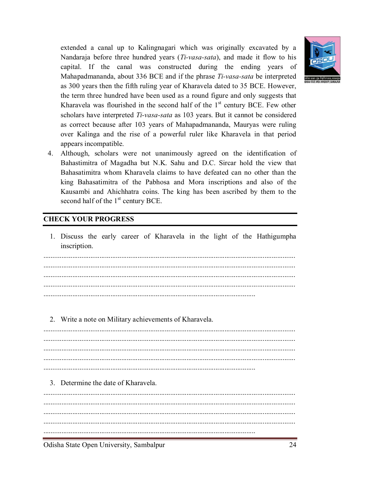

extended a canal up to Kalingnagari which was originally excavated by a Nandaraja before three hundred years (*Ti-vasa-sata*), and made it flow to his capital. If the canal was constructed during the ending years of Mahapadmananda, about 336 BCE and if the phrase *Ti-vasa-sata* be interpreted as 300 years then the fifth ruling year of Kharavela dated to 35 BCE. However, the term three hundred have been used as a round figure and only suggests that Kharavela was flourished in the second half of the  $1<sup>st</sup>$  century BCE. Few other scholars have interpreted *Ti-vasa-sata* as 103 years. But it cannot be considered as correct because after 103 years of Mahapadmananda, Mauryas were ruling over Kalinga and the rise of a powerful ruler like Kharavela in that period appears incompatible.

4. Although, scholars were not unanimously agreed on the identification of Bahastimitra of Magadha but N.K. Sahu and D.C. Sircar hold the view that Bahasatimitra whom Kharavela claims to have defeated can no other than the king Bahasatimitra of the Pabhosa and Mora inscriptions and also of the Kausambi and Ahichhatra coins. The king has been ascribed by them to the second half of the  $1<sup>st</sup>$  century BCE.

#### **CHECK YOUR PROGRESS**

1. Discuss the early career of Kharavela in the light of the Hathigumpha inscription.

.....................................................................................................................

2. Write a note on Military achievements of Kharavela.

.....................................................................................................................

3. Determine the date of Kharavela.

........................................................................................................................................... ........................................................................................................................................... ........................................................................................................................................... .....................................................................................................................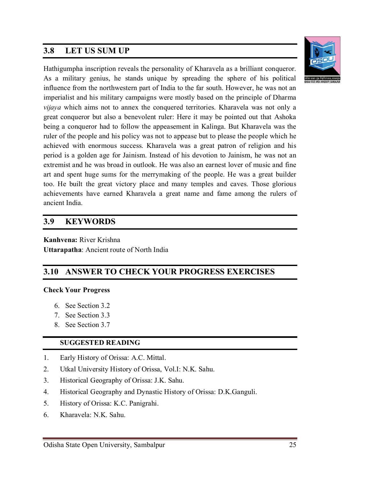### **3.8 LET US SUM UP**



Hathigumpha inscription reveals the personality of Kharavela as a brilliant conqueror. As a military genius, he stands unique by spreading the sphere of his political influence from the northwestern part of India to the far south. However, he was not an imperialist and his military campaigns were mostly based on the principle of Dharma *vijaya* which aims not to annex the conquered territories. Kharavela was not only a great conqueror but also a benevolent ruler: Here it may be pointed out that Ashoka being a conqueror had to follow the appeasement in Kalinga. But Kharavela was the ruler of the people and his policy was not to appease but to please the people which he achieved with enormous success. Kharavela was a great patron of religion and his period is a golden age for Jainism. Instead of his devotion to Jainism, he was not an extremist and he was broad in outlook. He was also an earnest lover of music and fine art and spent huge sums for the merrymaking of the people. He was a great builder too. He built the great victory place and many temples and caves. Those glorious achievements have earned Kharavela a great name and fame among the rulers of ancient India.

### **3.9 KEYWORDS**

**Kanhvena:** River Krishna **Uttarapatha**: Ancient route of North India

# **3.10 ANSWER TO CHECK YOUR PROGRESS EXERCISES**

#### **Check Your Progress**

- 6. See Section 3.2
- 7. See Section 3.3
- 8. See Section 3.7

#### **SUGGESTED READING**

- 1. Early History of Orissa: A.C. Mittal.
- 2. Utkal University History of Orissa, Vol.I: N.K. Sahu.
- 3. Historical Geography of Orissa: J.K. Sahu.
- 4. Historical Geography and Dynastic History of Orissa: D.K.Ganguli.
- 5. History of Orissa: K.C. Panigrahi.
- 6. Kharavela: N.K. Sahu.